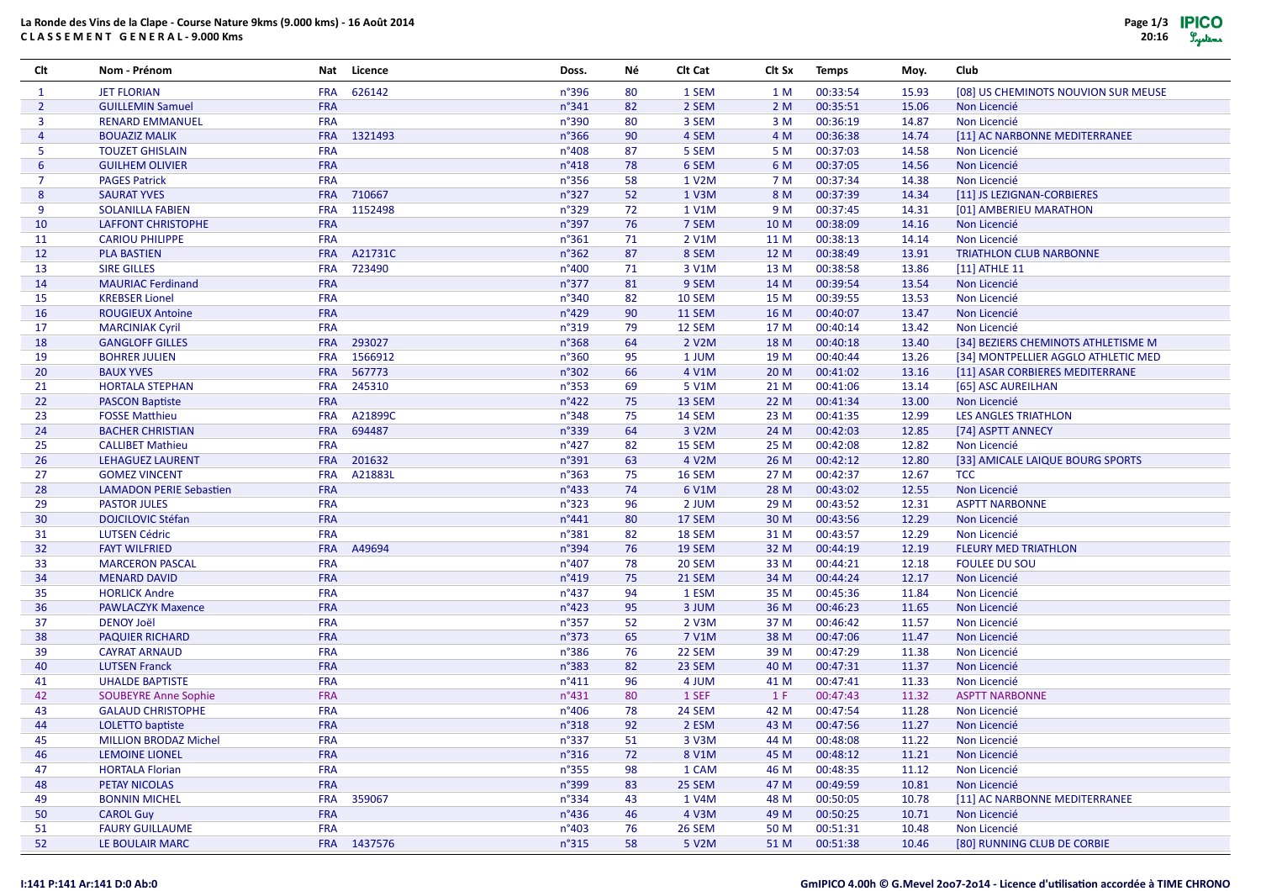# **La Ronde des Vins de la Clape - Course Nature 9kms (9.000 kms) - 16 Août 2014C L A S S E M E N T G E N E R A L - 9.000 Kms**

| Clt            | Nom - Prénom                   | Nat        | Licence     | Doss.           | Νé | Clt Cat       | Clt Sx | <b>Temps</b> | Moy.  | Club                                |
|----------------|--------------------------------|------------|-------------|-----------------|----|---------------|--------|--------------|-------|-------------------------------------|
| 1              | <b>JET FLORIAN</b>             | <b>FRA</b> | 626142      | n°396           | 80 | 1 SEM         | 1 M    | 00:33:54     | 15.93 | [08] US CHEMINOTS NOUVION SUR MEUSE |
| $\overline{2}$ | <b>GUILLEMIN Samuel</b>        | FRA        |             | $n^{\circ}341$  | 82 | 2 SEM         | 2 M    | 00:35:51     | 15.06 | Non Licencié                        |
| 3              | <b>RENARD EMMANUEL</b>         | <b>FRA</b> |             | n°390           | 80 | 3 SEM         | 3 M    | 00:36:19     | 14.87 | Non Licencié                        |
| $\overline{4}$ | <b>BOUAZIZ MALIK</b>           | <b>FRA</b> | 1321493     | n°366           | 90 | 4 SEM         | 4 M    | 00:36:38     | 14.74 | [11] AC NARBONNE MEDITERRANEE       |
| 5              | <b>TOUZET GHISLAIN</b>         | <b>FRA</b> |             | n°408           | 87 | 5 SEM         | 5 M    | 00:37:03     | 14.58 | Non Licencié                        |
| 6              | <b>GUILHEM OLIVIER</b>         | <b>FRA</b> |             | n°418           | 78 | 6 SEM         | 6 M    | 00:37:05     | 14.56 | Non Licencié                        |
| $\overline{7}$ | <b>PAGES Patrick</b>           | <b>FRA</b> |             | n°356           | 58 | 1 V2M         | 7 M    | 00:37:34     | 14.38 | Non Licencié                        |
| 8              | <b>SAURAT YVES</b>             | <b>FRA</b> | 710667      | n°327           | 52 | 1 V3M         | 8 M    | 00:37:39     | 14.34 | [11] JS LEZIGNAN-CORBIERES          |
| 9              | <b>SOLANILLA FABIEN</b>        | <b>FRA</b> | 1152498     | n°329           | 72 | 1 V1M         | 9 M    | 00:37:45     | 14.31 | [01] AMBERIEU MARATHON              |
| 10             | <b>LAFFONT CHRISTOPHE</b>      | <b>FRA</b> |             | n°397           | 76 | 7 SEM         | 10 M   | 00:38:09     | 14.16 | Non Licencié                        |
| 11             | <b>CARIOU PHILIPPE</b>         | <b>FRA</b> |             | $n^{\circ}361$  | 71 | 2 V1M         | 11 M   | 00:38:13     | 14.14 | Non Licencié                        |
| 12             | <b>PLA BASTIEN</b>             | <b>FRA</b> | A21731C     | n°362           | 87 | 8 SEM         | 12 M   | 00:38:49     | 13.91 | <b>TRIATHLON CLUB NARBONNE</b>      |
| 13             | <b>SIRE GILLES</b>             | <b>FRA</b> | 723490      | n°400           | 71 | 3 V1M         | 13 M   | 00:38:58     | 13.86 | [11] ATHLE 11                       |
| 14             | <b>MAURIAC Ferdinand</b>       | FRA        |             | n°377           | 81 | 9 SEM         | 14 M   | 00:39:54     | 13.54 | Non Licencié                        |
| 15             | <b>KREBSER Lionel</b>          | <b>FRA</b> |             | n°340           | 82 | 10 SEM        | 15 M   | 00:39:55     | 13.53 | Non Licencié                        |
| 16             | <b>ROUGIEUX Antoine</b>        | FRA        |             | n°429           | 90 | 11 SEM        | 16 M   | 00:40:07     | 13.47 | Non Licencié                        |
| 17             | <b>MARCINIAK Cyril</b>         | <b>FRA</b> |             | n°319           | 79 | 12 SEM        | 17 M   | 00:40:14     | 13.42 | Non Licencié                        |
| 18             | <b>GANGLOFF GILLES</b>         | <b>FRA</b> | 293027      | n°368           | 64 | 2 V2M         | 18 M   | 00:40:18     | 13.40 | [34] BEZIERS CHEMINOTS ATHLETISME M |
| 19             | <b>BOHRER JULIEN</b>           | <b>FRA</b> | 1566912     | n°360           | 95 | 1 JUM         | 19 M   | 00:40:44     | 13.26 | [34] MONTPELLIER AGGLO ATHLETIC MED |
| 20             | <b>BAUX YVES</b>               | <b>FRA</b> | 567773      | n°302           | 66 | 4 V1M         | 20 M   | 00:41:02     | 13.16 | [11] ASAR CORBIERES MEDITERRANE     |
| 21             | <b>HORTALA STEPHAN</b>         | <b>FRA</b> | 245310      | n°353           | 69 | 5 V1M         | 21 M   | 00:41:06     | 13.14 | [65] ASC AUREILHAN                  |
| 22             | <b>PASCON Baptiste</b>         | <b>FRA</b> |             | $n^{\circ}422$  | 75 | 13 SEM        | 22 M   | 00:41:34     | 13.00 | Non Licencié                        |
| 23             | <b>FOSSE Matthieu</b>          | <b>FRA</b> | A21899C     | n°348           | 75 | 14 SEM        | 23 M   | 00:41:35     | 12.99 | <b>LES ANGLES TRIATHLON</b>         |
| 24             | <b>BACHER CHRISTIAN</b>        | <b>FRA</b> | 694487      | n°339           | 64 | 3 V2M         | 24 M   | 00:42:03     | 12.85 | [74] ASPTT ANNECY                   |
| 25             | <b>CALLIBET Mathieu</b>        | <b>FRA</b> |             | $n^{\circ}427$  | 82 | 15 SEM        | 25 M   | 00:42:08     | 12.82 | Non Licencié                        |
| 26             | LEHAGUEZ LAURENT               | <b>FRA</b> | 201632      | n°391           | 63 | 4 V2M         | 26 M   | 00:42:12     | 12.80 | [33] AMICALE LAIQUE BOURG SPORTS    |
| 27             | <b>GOMEZ VINCENT</b>           | <b>FRA</b> | A21883L     | $n^{\circ}363$  | 75 | 16 SEM        | 27 M   | 00:42:37     | 12.67 | <b>TCC</b>                          |
| 28             | <b>LAMADON PERIE Sebastien</b> | <b>FRA</b> |             | $n^{\circ}433$  | 74 | 6 V1M         | 28 M   | 00:43:02     | 12.55 | Non Licencié                        |
| 29             | <b>PASTOR JULES</b>            | <b>FRA</b> |             | n°323           | 96 | 2 JUM         | 29 M   | 00:43:52     | 12.31 | <b>ASPTT NARBONNE</b>               |
| 30             | <b>DOJCILOVIC Stéfan</b>       | FRA        |             | n°441           | 80 | 17 SEM        | 30 M   | 00:43:56     | 12.29 | Non Licencié                        |
| 31             | <b>LUTSEN Cédric</b>           | <b>FRA</b> |             | n°381           | 82 | 18 SEM        | 31 M   | 00:43:57     | 12.29 | Non Licencié                        |
| 32             | <b>FAYT WILFRIED</b>           | <b>FRA</b> | A49694      | n°394           | 76 | 19 SEM        | 32 M   | 00:44:19     | 12.19 | <b>FLEURY MED TRIATHLON</b>         |
| 33             | <b>MARCERON PASCAL</b>         | <b>FRA</b> |             | n°407           | 78 | 20 SEM        | 33 M   | 00:44:21     | 12.18 | <b>FOULEE DU SOU</b>                |
| 34             | <b>MENARD DAVID</b>            | FRA        |             | $n^{\circ}419$  | 75 | 21 SEM        | 34 M   | 00:44:24     | 12.17 | Non Licencié                        |
| 35             | <b>HORLICK Andre</b>           | <b>FRA</b> |             | $n^{\circ}437$  | 94 | 1 ESM         | 35 M   | 00:45:36     | 11.84 | Non Licencié                        |
| 36             | <b>PAWLACZYK Maxence</b>       | FRA        |             | $n^{\circ}423$  | 95 | 3 JUM         | 36 M   | 00:46:23     | 11.65 | Non Licencié                        |
| 37             | <b>DENOY Joël</b>              | <b>FRA</b> |             | n°357           | 52 | 2 V3M         | 37 M   | 00:46:42     | 11.57 | Non Licencié                        |
| 38             | <b>PAQUIER RICHARD</b>         | <b>FRA</b> |             | n°373           | 65 | 7 V1M         | 38 M   | 00:47:06     | 11.47 | Non Licencié                        |
| 39             | <b>CAYRAT ARNAUD</b>           | <b>FRA</b> |             | n°386           | 76 | 22 SEM        | 39 M   | 00:47:29     | 11.38 | Non Licencié                        |
| 40             | <b>LUTSEN Franck</b>           | <b>FRA</b> |             | $n^{\circ}383$  | 82 | 23 SEM        | 40 M   | 00:47:31     | 11.37 | Non Licencié                        |
| 41             | <b>UHALDE BAPTISTE</b>         | <b>FRA</b> |             | $n^{\circ}411$  | 96 | 4 JUM         | 41 M   | 00:47:41     | 11.33 | Non Licencié                        |
| 42             | <b>SOUBEYRE Anne Sophie</b>    | <b>FRA</b> |             | $n^{\circ}431$  | 80 | 1 SEF         | 1 F    | 00:47:43     | 11.32 | <b>ASPTT NARBONNE</b>               |
| 43             | <b>GALAUD CHRISTOPHE</b>       | <b>FRA</b> |             | n°406           | 78 | 24 SEM        | 42 M   | 00:47:54     | 11.28 | Non Licencié                        |
| 44             | LOLETTO baptiste               | <b>FRA</b> |             | n°318           | 92 | 2 ESM         | 43 M   | 00:47:56     | 11.27 | Non Licencié                        |
| 45             | <b>MILLION BRODAZ Michel</b>   | <b>FRA</b> |             | $n^{\circ}337$  | 51 | 3 V3M         | 44 M   | 00:48:08     | 11.22 | Non Licencié                        |
| 46             | <b>LEMOINE LIONEL</b>          | <b>FRA</b> |             | $n^{\circ}316$  | 72 | 8 V1M         | 45 M   | 00:48:12     | 11.21 | Non Licencié                        |
| 47             | <b>HORTALA Florian</b>         | <b>FRA</b> |             | $n^{\circ}355$  | 98 | 1 CAM         | 46 M   | 00:48:35     | 11.12 | Non Licencié                        |
| 48             | PETAY NICOLAS                  | <b>FRA</b> |             | n°399           | 83 | 25 SEM        | 47 M   | 00:49:59     | 10.81 | Non Licencié                        |
| 49             | <b>BONNIN MICHEL</b>           | <b>FRA</b> | 359067      | $n^{\circ}$ 334 | 43 | 1 V4M         | 48 M   | 00:50:05     | 10.78 | [11] AC NARBONNE MEDITERRANEE       |
| 50             | <b>CAROL Guy</b>               | <b>FRA</b> |             | $n^{\circ}$ 436 | 46 | 4 V3M         | 49 M   | 00:50:25     | 10.71 | Non Licencié                        |
| 51             | <b>FAURY GUILLAUME</b>         | <b>FRA</b> |             | $n^{\circ}403$  | 76 | <b>26 SEM</b> | 50 M   | 00:51:31     | 10.48 | Non Licencié                        |
| 52             | LE BOULAIR MARC                |            | FRA 1437576 | $n^{\circ}315$  | 58 | 5 V2M         | 51 M   | 00:51:38     | 10.46 | [80] RUNNING CLUB DE CORBIE         |

#### **I:141 P:141 Ar:141 D:0 Ab:0**

### GmIPICO 4.00h © G.Mevel 2007-2014 - Licence d'utilisation accordée à TIME CHRONO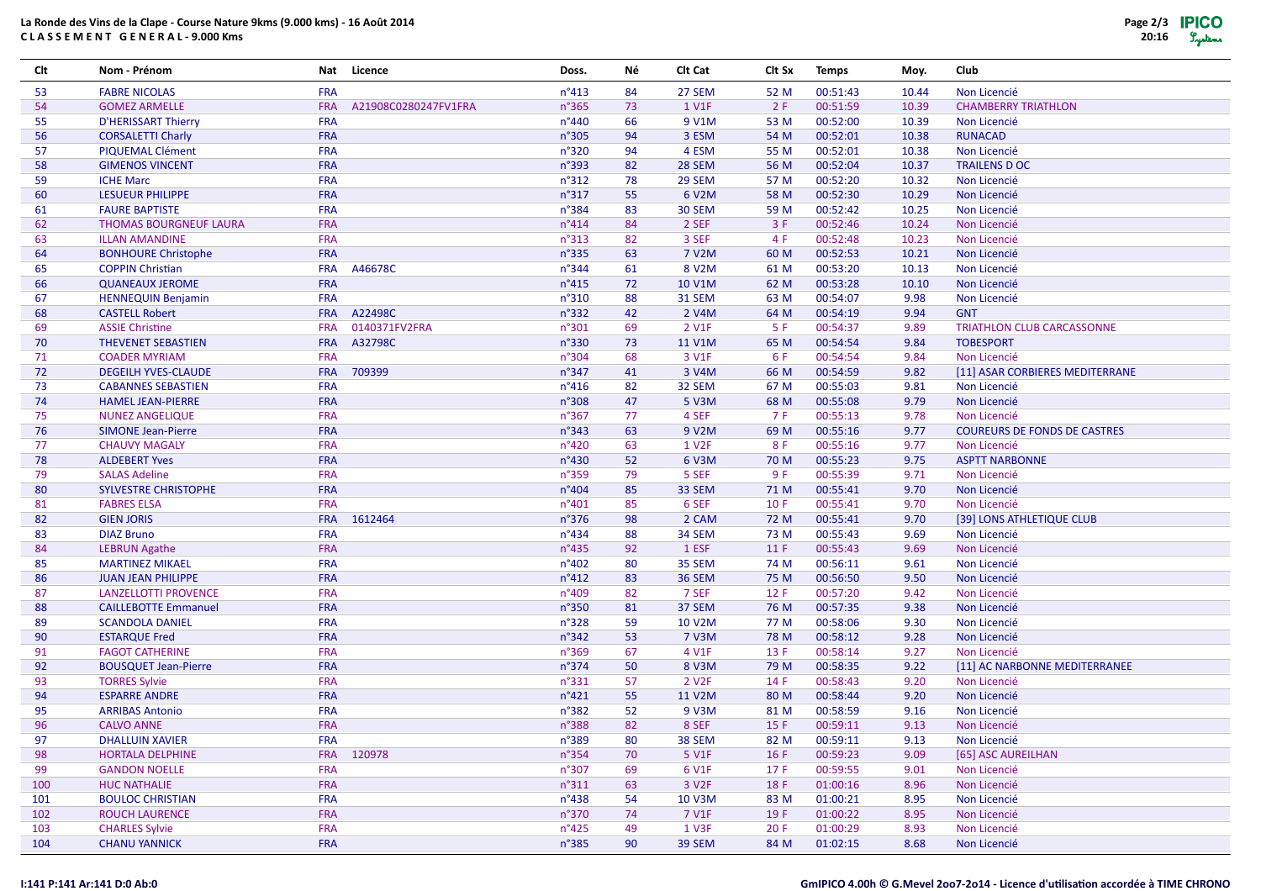# **La Ronde des Vins de la Clape - Course Nature 9kms (9.000 kms) - 16 Août 2014C L A S S E M E N T G E N E R A L - 9.000 Kms**

| Clt | Nom - Prénom                  | Nat        | Licence              | Doss.          | Νé | Clt Cat            | Clt Sx | <b>Temps</b> | Moy.  | Club                                |
|-----|-------------------------------|------------|----------------------|----------------|----|--------------------|--------|--------------|-------|-------------------------------------|
| 53  | <b>FABRE NICOLAS</b>          | <b>FRA</b> |                      | $n^{\circ}413$ | 84 | 27 SEM             | 52 M   | 00:51:43     | 10.44 | Non Licencié                        |
| 54  | <b>GOMEZ ARMELLE</b>          | <b>FRA</b> | A21908C0280247FV1FRA | n°365          | 73 | 1 V1F              | 2F     | 00:51:59     | 10.39 | <b>CHAMBERRY TRIATHLON</b>          |
| 55  | D'HERISSART Thierry           | <b>FRA</b> |                      | n°440          | 66 | 9 V1M              | 53 M   | 00:52:00     | 10.39 | Non Licencié                        |
| 56  | <b>CORSALETTI Charly</b>      | FRA        |                      | n°305          | 94 | 3 ESM              | 54 M   | 00:52:01     | 10.38 | <b>RUNACAD</b>                      |
| 57  | PIQUEMAL Clément              | <b>FRA</b> |                      | n°320          | 94 | 4 ESM              | 55 M   | 00:52:01     | 10.38 | Non Licencié                        |
| 58  | <b>GIMENOS VINCENT</b>        | <b>FRA</b> |                      | n°393          | 82 | 28 SEM             | 56 M   | 00:52:04     | 10.37 | <b>TRAILENS D OC</b>                |
| 59  | <b>ICHE Marc</b>              | <b>FRA</b> |                      | $n^{\circ}312$ | 78 | 29 SEM             | 57 M   | 00:52:20     | 10.32 | Non Licencié                        |
| 60  | <b>LESUEUR PHILIPPE</b>       | <b>FRA</b> |                      | n°317          | 55 | 6 V2M              | 58 M   | 00:52:30     | 10.29 | Non Licencié                        |
| 61  | <b>FAURE BAPTISTE</b>         | <b>FRA</b> |                      | n°384          | 83 | 30 SEM             | 59 M   | 00:52:42     | 10.25 | Non Licencié                        |
| 62  | <b>THOMAS BOURGNEUF LAURA</b> | <b>FRA</b> |                      | $n^{\circ}414$ | 84 | 2 SEF              | 3F     | 00:52:46     | 10.24 | Non Licencié                        |
| 63  | <b>ILLAN AMANDINE</b>         | <b>FRA</b> |                      | $n^{\circ}313$ | 82 | 3 SEF              | 4 F    | 00:52:48     | 10.23 | Non Licencié                        |
| 64  | <b>BONHOURE Christophe</b>    | <b>FRA</b> |                      | n°335          | 63 | 7 V2M              | 60 M   | 00:52:53     | 10.21 | Non Licencié                        |
| 65  | <b>COPPIN Christian</b>       | <b>FRA</b> | A46678C              | n°344          | 61 | 8 V2M              | 61 M   | 00:53:20     | 10.13 | Non Licencié                        |
| 66  | <b>QUANEAUX JEROME</b>        | <b>FRA</b> |                      | $n^{\circ}415$ | 72 | 10 V1M             | 62 M   | 00:53:28     | 10.10 | Non Licencié                        |
| 67  | <b>HENNEQUIN Benjamin</b>     | <b>FRA</b> |                      | n°310          | 88 | <b>31 SEM</b>      | 63 M   | 00:54:07     | 9.98  | Non Licencié                        |
| 68  | <b>CASTELL Robert</b>         | <b>FRA</b> | A22498C              | n°332          | 42 | 2 V4M              | 64 M   | 00:54:19     | 9.94  | <b>GNT</b>                          |
| 69  | <b>ASSIE Christine</b>        | <b>FRA</b> | 0140371FV2FRA        | n°301          | 69 | 2 V1F              | 5 F    | 00:54:37     | 9.89  | TRIATHLON CLUB CARCASSONNE          |
| 70  | <b>THEVENET SEBASTIEN</b>     | <b>FRA</b> | A32798C              | n°330          | 73 | 11 V1M             | 65 M   | 00:54:54     | 9.84  | <b>TOBESPORT</b>                    |
| 71  | <b>COADER MYRIAM</b>          | <b>FRA</b> |                      | n°304          | 68 | 3 V1F              | 6 F    | 00:54:54     | 9.84  | Non Licencié                        |
| 72  | <b>DEGEILH YVES-CLAUDE</b>    | <b>FRA</b> | 709399               | n°347          | 41 | 3 V4M              | 66 M   | 00:54:59     | 9.82  | [11] ASAR CORBIERES MEDITERRANE     |
| 73  | <b>CABANNES SEBASTIEN</b>     | <b>FRA</b> |                      | $n^{\circ}416$ | 82 | 32 SEM             | 67 M   | 00:55:03     | 9.81  | Non Licencié                        |
| 74  | <b>HAMEL JEAN-PIERRE</b>      | <b>FRA</b> |                      | n°308          | 47 | 5 V3M              | 68 M   | 00:55:08     | 9.79  | Non Licencié                        |
| 75  | <b>NUNEZ ANGELIQUE</b>        | <b>FRA</b> |                      | n°367          | 77 | 4 SEF              | 7 F    | 00:55:13     | 9.78  | Non Licencié                        |
| 76  | <b>SIMONE Jean-Pierre</b>     | FRA        |                      | $n^{\circ}343$ | 63 | 9 V2M              | 69 M   | 00:55:16     | 9.77  | <b>COUREURS DE FONDS DE CASTRES</b> |
| 77  | <b>CHAUVY MAGALY</b>          | <b>FRA</b> |                      | n°420          | 63 | 1 V <sub>2F</sub>  | 8 F    | 00:55:16     | 9.77  | Non Licencié                        |
| 78  | <b>ALDEBERT Yves</b>          | <b>FRA</b> |                      | $n^{\circ}430$ | 52 | 6 V3M              | 70 M   | 00:55:23     | 9.75  | <b>ASPTT NARBONNE</b>               |
| 79  | <b>SALAS Adeline</b>          | <b>FRA</b> |                      | n°359          | 79 | 5 SEF              | 9 F    | 00:55:39     | 9.71  | Non Licencié                        |
| 80  | SYLVESTRE CHRISTOPHE          | <b>FRA</b> |                      | n°404          | 85 | 33 SEM             | 71 M   | 00:55:41     | 9.70  | Non Licencié                        |
| 81  | <b>FABRES ELSA</b>            | <b>FRA</b> |                      | n°401          | 85 | 6 SEF              | 10F    | 00:55:41     | 9.70  | Non Licencié                        |
| 82  | <b>GIEN JORIS</b>             | <b>FRA</b> | 1612464              | n°376          | 98 | 2 CAM              | 72 M   | 00:55:41     | 9.70  | [39] LONS ATHLETIQUE CLUB           |
| 83  | <b>DIAZ Bruno</b>             | <b>FRA</b> |                      | n°434          | 88 | 34 SEM             | 73 M   | 00:55:43     | 9.69  | Non Licencié                        |
| 84  | <b>LEBRUN Agathe</b>          | FRA        |                      | n°435          | 92 | 1 ESF              | 11F    | 00:55:43     | 9.69  | Non Licencié                        |
| 85  | <b>MARTINEZ MIKAEL</b>        | <b>FRA</b> |                      | n°402          | 80 | 35 SEM             | 74 M   | 00:56:11     | 9.61  | Non Licencié                        |
| 86  | <b>JUAN JEAN PHILIPPE</b>     | <b>FRA</b> |                      | $n^{\circ}412$ | 83 | 36 SEM             | 75 M   | 00:56:50     | 9.50  | Non Licencié                        |
| 87  | LANZELLOTTI PROVENCE          | <b>FRA</b> |                      | n°409          | 82 | 7 SEF              | 12F    | 00:57:20     | 9.42  | Non Licencié                        |
| 88  | <b>CAILLEBOTTE Emmanuel</b>   | <b>FRA</b> |                      | n°350          | 81 | 37 SEM             | 76 M   | 00:57:35     | 9.38  | Non Licencié                        |
| 89  | <b>SCANDOLA DANIEL</b>        | <b>FRA</b> |                      | n°328          | 59 | <b>10 V2M</b>      | 77 M   | 00:58:06     | 9.30  | Non Licencié                        |
| 90  | <b>ESTARQUE Fred</b>          | FRA        |                      | $n^{\circ}342$ | 53 | 7 V3M              | 78 M   | 00:58:12     | 9.28  | Non Licencié                        |
| 91  | <b>FAGOT CATHERINE</b>        | <b>FRA</b> |                      | n°369          | 67 | 4 V1F              | 13 F   | 00:58:14     | 9.27  | Non Licencié                        |
| 92  | <b>BOUSQUET Jean-Pierre</b>   | <b>FRA</b> |                      | $n^{\circ}374$ | 50 | 8 V3M              | 79 M   | 00:58:35     | 9.22  | [11] AC NARBONNE MEDITERRANEE       |
| 93  | <b>TORRES Sylvie</b>          | <b>FRA</b> |                      | n°331          | 57 | 2 V <sub>2</sub> F | 14 F   | 00:58:43     | 9.20  | Non Licencié                        |
| 94  | <b>ESPARRE ANDRE</b>          | FRA        |                      | n°421          | 55 | 11 V2M             | 80 M   | 00:58:44     | 9.20  | Non Licencié                        |
| 95  | <b>ARRIBAS Antonio</b>        | <b>FRA</b> |                      | n°382          | 52 | 9 V3M              | 81 M   | 00:58:59     | 9.16  | Non Licencié                        |
| 96  | <b>CALVO ANNE</b>             | <b>FRA</b> |                      | n°388          | 82 | 8 SEF              | 15F    | 00:59:11     | 9.13  | Non Licencié                        |
| 97  | DHALLUIN XAVIER               | <b>FRA</b> |                      | n°389          | 80 | 38 SEM             | 82 M   | 00:59:11     | 9.13  | Non Licencié                        |
| 98  | <b>HORTALA DELPHINE</b>       | <b>FRA</b> | 120978               | $n^{\circ}354$ | 70 | 5 V1F              | 16F    | 00:59:23     | 9.09  | [65] ASC AUREILHAN                  |
| 99  | <b>GANDON NOELLE</b>          | <b>FRA</b> |                      | n°307          | 69 | 6 V1F              | 17F    | 00:59:55     | 9.01  | Non Licencié                        |
| 100 | <b>HUC NATHALIE</b>           | <b>FRA</b> |                      | $n^{\circ}311$ | 63 | 3 V <sub>2F</sub>  | 18 F   | 01:00:16     | 8.96  | Non Licencié                        |
| 101 | <b>BOULOC CHRISTIAN</b>       | <b>FRA</b> |                      | $n^{\circ}438$ | 54 | 10 V3M             | 83 M   | 01:00:21     | 8.95  | Non Licencié                        |
| 102 | ROUCH LAURENCE                | <b>FRA</b> |                      | n°370          | 74 | 7 V1F              | 19 F   | 01:00:22     | 8.95  | Non Licencié                        |
| 103 | <b>CHARLES Sylvie</b>         | <b>FRA</b> |                      | $n^{\circ}425$ | 49 | 1 V3F              | 20 F   | 01:00:29     | 8.93  | Non Licencié                        |
| 104 | <b>CHANU YANNICK</b>          | <b>FRA</b> |                      | $n^{\circ}385$ | 90 | <b>39 SEM</b>      | 84 M   | 01:02:15     | 8.68  | Non Licencié                        |

#### **I:141 P:141 Ar:141 D:0 Ab:0**

#### GmIPICO 4.00h © G.Mevel 2007-2014 - Licence d'utilisation accordée à TIME CHRONO